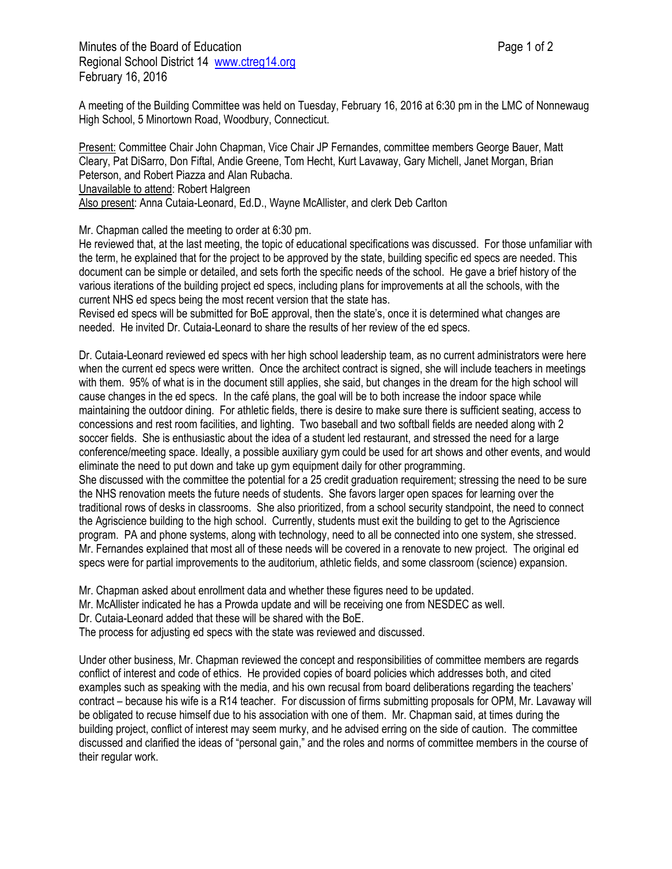Minutes of the Board of Education **Page 1 of 2** and 2 Regional School District 14 [www.ctreg14.org](http://www.ctreg14.org/) February 16, 2016

A meeting of the Building Committee was held on Tuesday, February 16, 2016 at 6:30 pm in the LMC of Nonnewaug High School, 5 Minortown Road, Woodbury, Connecticut.

Present: Committee Chair John Chapman, Vice Chair JP Fernandes, committee members George Bauer, Matt Cleary, Pat DiSarro, Don Fiftal, Andie Greene, Tom Hecht, Kurt Lavaway, Gary Michell, Janet Morgan, Brian Peterson, and Robert Piazza and Alan Rubacha. Unavailable to attend: Robert Halgreen Also present: Anna Cutaia-Leonard, Ed.D., Wayne McAllister, and clerk Deb Carlton

Mr. Chapman called the meeting to order at 6:30 pm.

He reviewed that, at the last meeting, the topic of educational specifications was discussed. For those unfamiliar with the term, he explained that for the project to be approved by the state, building specific ed specs are needed. This document can be simple or detailed, and sets forth the specific needs of the school. He gave a brief history of the various iterations of the building project ed specs, including plans for improvements at all the schools, with the current NHS ed specs being the most recent version that the state has.

Revised ed specs will be submitted for BoE approval, then the state's, once it is determined what changes are needed. He invited Dr. Cutaia-Leonard to share the results of her review of the ed specs.

Dr. Cutaia-Leonard reviewed ed specs with her high school leadership team, as no current administrators were here when the current ed specs were written. Once the architect contract is signed, she will include teachers in meetings with them. 95% of what is in the document still applies, she said, but changes in the dream for the high school will cause changes in the ed specs. In the café plans, the goal will be to both increase the indoor space while maintaining the outdoor dining. For athletic fields, there is desire to make sure there is sufficient seating, access to concessions and rest room facilities, and lighting. Two baseball and two softball fields are needed along with 2 soccer fields. She is enthusiastic about the idea of a student led restaurant, and stressed the need for a large conference/meeting space. Ideally, a possible auxiliary gym could be used for art shows and other events, and would eliminate the need to put down and take up gym equipment daily for other programming.

She discussed with the committee the potential for a 25 credit graduation requirement; stressing the need to be sure the NHS renovation meets the future needs of students. She favors larger open spaces for learning over the traditional rows of desks in classrooms. She also prioritized, from a school security standpoint, the need to connect the Agriscience building to the high school. Currently, students must exit the building to get to the Agriscience program. PA and phone systems, along with technology, need to all be connected into one system, she stressed. Mr. Fernandes explained that most all of these needs will be covered in a renovate to new project. The original ed specs were for partial improvements to the auditorium, athletic fields, and some classroom (science) expansion.

Mr. Chapman asked about enrollment data and whether these figures need to be updated.

Mr. McAllister indicated he has a Prowda update and will be receiving one from NESDEC as well.

Dr. Cutaia-Leonard added that these will be shared with the BoE.

The process for adjusting ed specs with the state was reviewed and discussed.

Under other business, Mr. Chapman reviewed the concept and responsibilities of committee members are regards conflict of interest and code of ethics. He provided copies of board policies which addresses both, and cited examples such as speaking with the media, and his own recusal from board deliberations regarding the teachers' contract – because his wife is a R14 teacher. For discussion of firms submitting proposals for OPM, Mr. Lavaway will be obligated to recuse himself due to his association with one of them. Mr. Chapman said, at times during the building project, conflict of interest may seem murky, and he advised erring on the side of caution. The committee discussed and clarified the ideas of "personal gain," and the roles and norms of committee members in the course of their regular work.